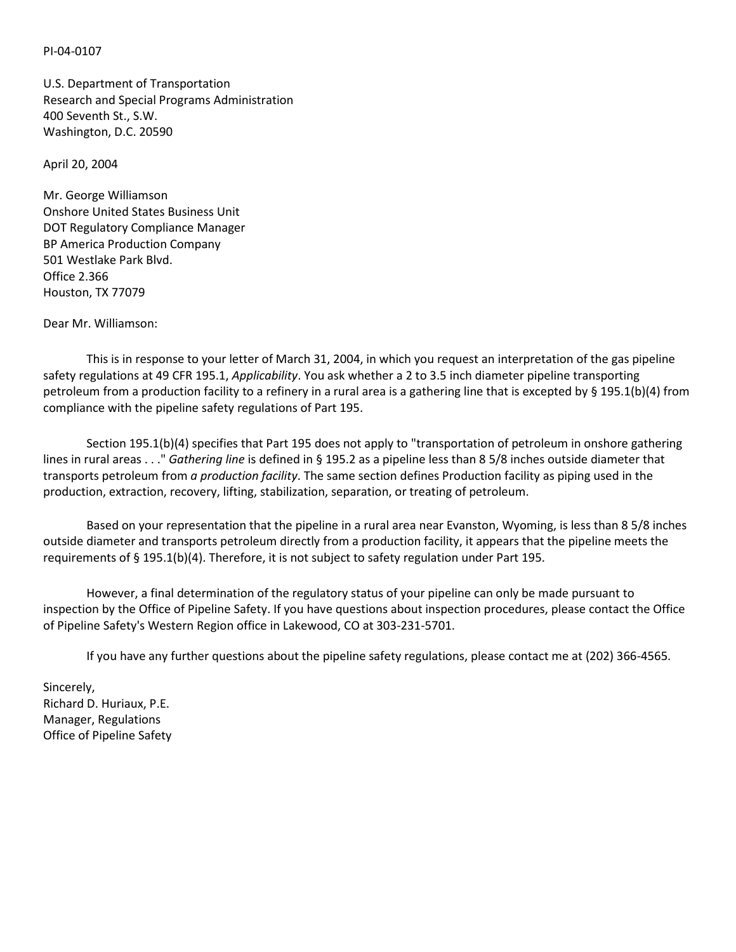PI-04-0107

U.S. Department of Transportation Research and Special Programs Administration 400 Seventh St., S.W. Washington, D.C. 20590

April 20, 2004

Mr. George Williamson Onshore United States Business Unit DOT Regulatory Compliance Manager BP America Production Company 501 Westlake Park Blvd. Office 2.366 Houston, TX 77079

Dear Mr. Williamson:

This is in response to your letter of March 31, 2004, in which you request an interpretation of the gas pipeline safety regulations at 49 CFR 195.1, *Applicability*. You ask whether a 2 to 3.5 inch diameter pipeline transporting petroleum from a production facility to a refinery in a rural area is a gathering line that is excepted by § 195.1(b)(4) from compliance with the pipeline safety regulations of Part 195.

Section 195.1(b)(4) specifies that Part 195 does not apply to "transportation of petroleum in onshore gathering lines in rural areas . . ." *Gathering line* is defined in § 195.2 as a pipeline less than 8 5/8 inches outside diameter that transports petroleum from *a production facility*. The same section defines Production facility as piping used in the production, extraction, recovery, lifting, stabilization, separation, or treating of petroleum.

Based on your representation that the pipeline in a rural area near Evanston, Wyoming, is less than 8 5/8 inches outside diameter and transports petroleum directly from a production facility, it appears that the pipeline meets the requirements of § 195.1(b)(4). Therefore, it is not subject to safety regulation under Part 195.

However, a final determination of the regulatory status of your pipeline can only be made pursuant to inspection by the Office of Pipeline Safety. If you have questions about inspection procedures, please contact the Office of Pipeline Safety's Western Region office in Lakewood, CO at 303-231-5701.

If you have any further questions about the pipeline safety regulations, please contact me at (202) 366-4565.

Sincerely, Richard D. Huriaux, P.E. Manager, Regulations Office of Pipeline Safety